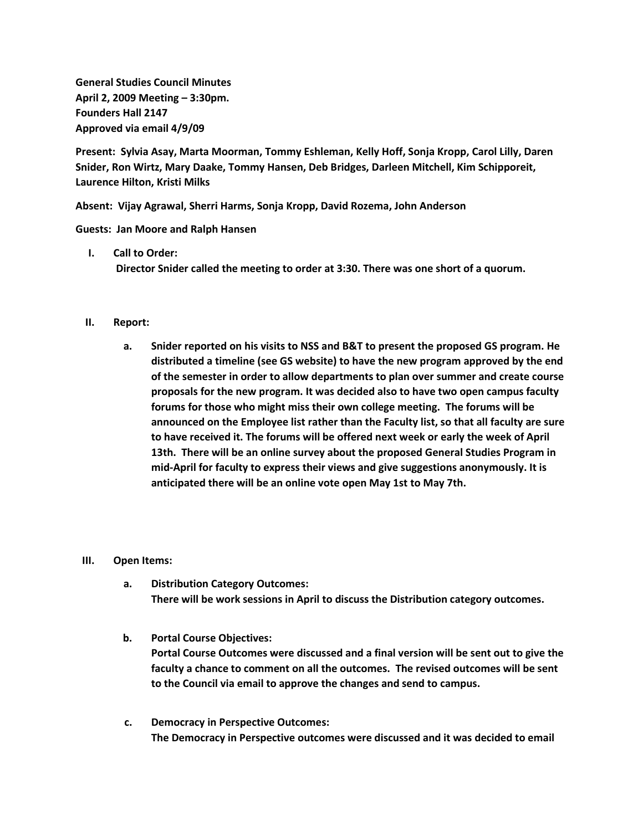**General Studies Council Minutes April 2, 2009 Meeting – 3:30pm. Founders Hall 2147 Approved via email 4/9/09**

**Present: Sylvia Asay, Marta Moorman, Tommy Eshleman, Kelly Hoff, Sonja Kropp, Carol Lilly, Daren Snider, Ron Wirtz, Mary Daake, Tommy Hansen, Deb Bridges, Darleen Mitchell, Kim Schipporeit, Laurence Hilton, Kristi Milks**

**Absent: Vijay Agrawal, Sherri Harms, Sonja Kropp, David Rozema, John Anderson**

**Guests: Jan Moore and Ralph Hansen**

**I. Call to Order:**

**Director Snider called the meeting to order at 3:30. There was one short of a quorum.**

- **II. Report:**
	- **a. Snider reported on his visits to NSS and B&T to present the proposed GS program. He distributed a timeline (see GS website) to have the new program approved by the end of the semester in order to allow departments to plan over summer and create course proposals for the new program. It was decided also to have two open campus faculty forums for those who might miss their own college meeting. The forums will be announced on the Employee list rather than the Faculty list, so that all faculty are sure to have received it. The forums will be offered next week or early the week of April 13th. There will be an online survey about the proposed General Studies Program in mid-April for faculty to express their views and give suggestions anonymously. It is anticipated there will be an online vote open May 1st to May 7th.**

## **III. Open Items:**

- **a. Distribution Category Outcomes: There will be work sessions in April to discuss the Distribution category outcomes.**
- **b. Portal Course Objectives: Portal Course Outcomes were discussed and a final version will be sent out to give the faculty a chance to comment on all the outcomes. The revised outcomes will be sent to the Council via email to approve the changes and send to campus.**
- **c. Democracy in Perspective Outcomes: The Democracy in Perspective outcomes were discussed and it was decided to email**